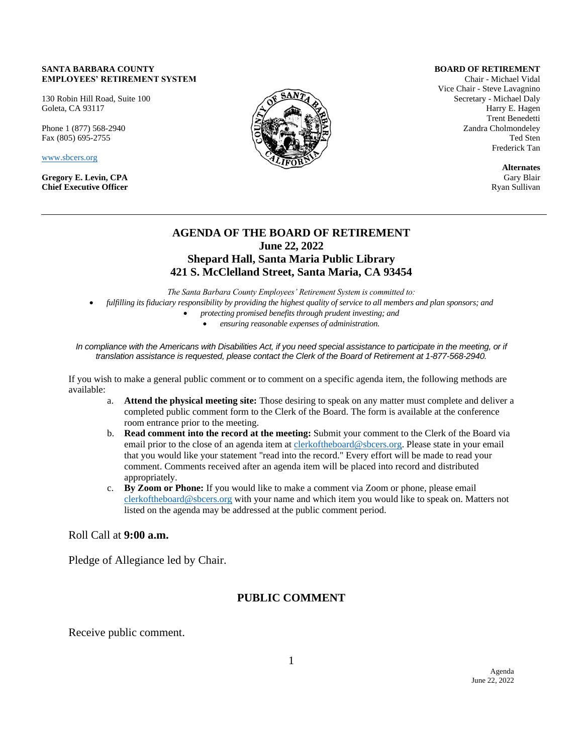#### **EMPLOYEES' RETIREMENT SYSTEM SANTA BARBARA COUNTY**

130 Robin Hill Road, Suite 100 Goleta, CA 93117

Phone 1 (877) 568-2940 Fax (805) 695-2755

[www.sbcers.org](http://www.sbcers.org/)

**Gregory E. Levin, CPA Chief Executive Officer**



#### **BOARD OF RETIREMENT**

Chair - Michael Vidal Vice Chair - Steve Lavagnino Secretary - Michael Daly Harry E. Hagen Trent Benedetti Zandra Cholmondeley Ted Sten Frederick Tan

> **Alternates** Gary Blair Ryan Sullivan

### **AGENDA OF THE BOARD OF RETIREMENT June 22, 2022 Shepard Hall, Santa Maria Public Library 421 S. McClelland Street, Santa Maria, CA 93454**

*The Santa Barbara County Employees' Retirement System is committed to:*

- *fulfilling its fiduciary responsibility by providing the highest quality of service to all members and plan sponsors; and*
	- *protecting promised benefits through prudent investing; and*
	- *ensuring reasonable expenses of administration.*

In compliance with the Americans with Disabilities Act, if you need special assistance to participate in the meeting, or if *translation assistance is requested, please contact the Clerk of the Board of Retirement at 1-877-568-2940.*

If you wish to make a general public comment or to comment on a specific agenda item, the following methods are available:

- a. **Attend the physical meeting site:** Those desiring to speak on any matter must complete and deliver a completed public comment form to the Clerk of the Board. The form is available at the conference room entrance prior to the meeting.
- b. **Read comment into the record at the meeting:** Submit your comment to the Clerk of the Board via email prior to the close of an agenda item at [clerkoftheboard@sbcers.org.](mailto:clerkoftheboard@sbcers.org) Please state in your email that you would like your statement "read into the record." Every effort will be made to read your comment. Comments received after an agenda item will be placed into record and distributed appropriately.
- c. **By Zoom or Phone:** If you would like to make a comment via Zoom or phone, please email [clerkoftheboard@sbcers.org](mailto:clerkoftheboard@sbcers.org) with your name and which item you would like to speak on. Matters not listed on the agenda may be addressed at the public comment period.

#### Roll Call at **9:00 a.m.**

Pledge of Allegiance led by Chair.

# **PUBLIC COMMENT**

Receive public comment.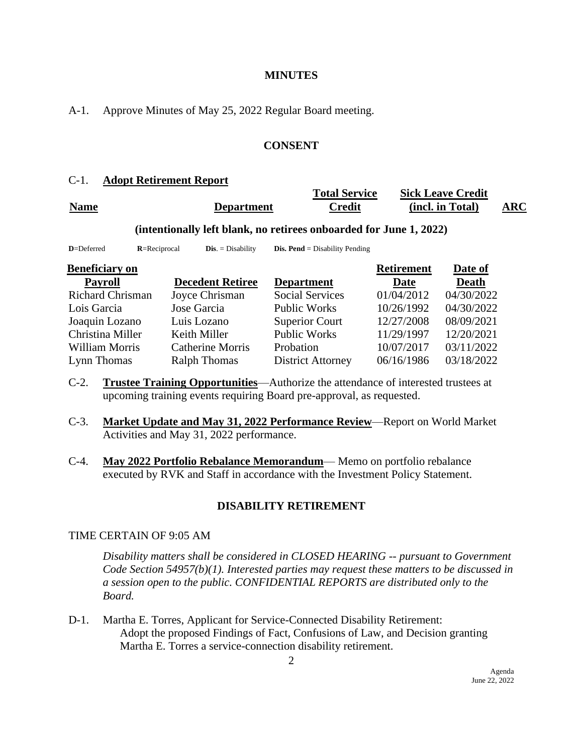### **MINUTES**

### A-1. Approve Minutes of May 25, 2022 Regular Board meeting.

#### **CONSENT**

### C-1. **Adopt Retirement Report**

**Name Department Total Service Credit Sick Leave Credit (incl. in Total) ARC (intentionally left blank, no retirees onboarded for June 1, 2022) D**=Deferred **R**=Reciprocal **Dis**. = Disability **Dis. Pend** = Disability Pending

**Retirement** 

**Date of** 

| <b>Beneficiary on</b>   |                         |                          | <b>Retirement</b> | Date of      |
|-------------------------|-------------------------|--------------------------|-------------------|--------------|
| <b>Payroll</b>          | <b>Decedent Retiree</b> | <b>Department</b>        | Date              | <b>Death</b> |
| <b>Richard Chrisman</b> | Joyce Chrisman          | <b>Social Services</b>   | 01/04/2012        | 04/30/2022   |
| Lois Garcia             | Jose Garcia             | <b>Public Works</b>      | 10/26/1992        | 04/30/2022   |
| Joaquin Lozano          | Luis Lozano             | <b>Superior Court</b>    | 12/27/2008        | 08/09/2021   |
| Christina Miller        | Keith Miller            | <b>Public Works</b>      | 11/29/1997        | 12/20/2021   |
| William Morris          | Catherine Morris        | Probation                | 10/07/2017        | 03/11/2022   |
| Lynn Thomas             | <b>Ralph Thomas</b>     | <b>District Attorney</b> | 06/16/1986        | 03/18/2022   |

- C-2. **Trustee Training Opportunities**—Authorize the attendance of interested trustees at upcoming training events requiring Board pre-approval, as requested.
- C-3. **Market Update and May 31, 2022 Performance Review**—Report on World Market Activities and May 31, 2022 performance.
- C-4. **May 2022 Portfolio Rebalance Memorandum** Memo on portfolio rebalance executed by RVK and Staff in accordance with the Investment Policy Statement.

### **DISABILITY RETIREMENT**

### TIME CERTAIN OF 9:05 AM

*Disability matters shall be considered in CLOSED HEARING -- pursuant to Government Code Section 54957(b)(1). Interested parties may request these matters to be discussed in a session open to the public. CONFIDENTIAL REPORTS are distributed only to the Board.*

D-1. Martha E. Torres, Applicant for Service-Connected Disability Retirement: Adopt the proposed Findings of Fact, Confusions of Law, and Decision granting Martha E. Torres a service-connection disability retirement.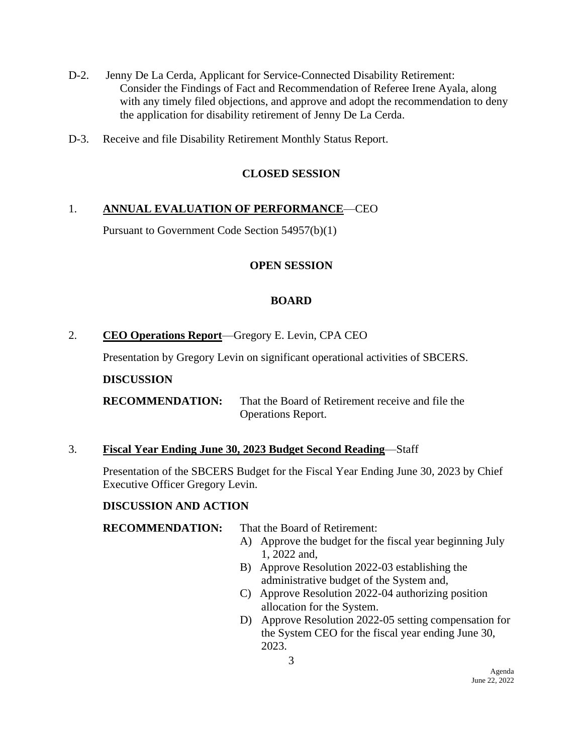- D-2. Jenny De La Cerda, Applicant for Service-Connected Disability Retirement: Consider the Findings of Fact and Recommendation of Referee Irene Ayala, along with any timely filed objections, and approve and adopt the recommendation to deny the application for disability retirement of Jenny De La Cerda.
- D-3. Receive and file Disability Retirement Monthly Status Report.

# **CLOSED SESSION**

## 1. **ANNUAL EVALUATION OF PERFORMANCE**—CEO

Pursuant to Government Code Section 54957(b)(1)

## **OPEN SESSION**

# **BOARD**

## 2. **CEO Operations Report**—Gregory E. Levin, CPA CEO

Presentation by Gregory Levin on significant operational activities of SBCERS.

## **DISCUSSION**

**RECOMMENDATION:** That the Board of Retirement receive and file the Operations Report.

## 3. **Fiscal Year Ending June 30, 2023 Budget Second Reading**—Staff

Presentation of the SBCERS Budget for the Fiscal Year Ending June 30, 2023 by Chief Executive Officer Gregory Levin.

## **DISCUSSION AND ACTION**

**RECOMMENDATION:** That the Board of Retirement:

- A) Approve the budget for the fiscal year beginning July 1, 2022 and,
- B) Approve Resolution 2022-03 establishing the administrative budget of the System and,
- C) Approve Resolution 2022-04 authorizing position allocation for the System.
- D) Approve Resolution 2022-05 setting compensation for the System CEO for the fiscal year ending June 30, 2023.